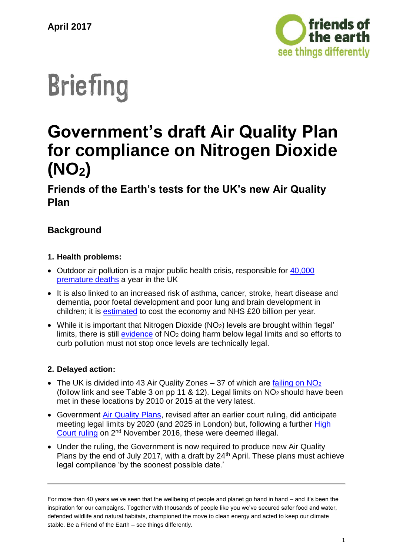

# **Briefing**

# **Government's draft Air Quality Plan for compliance on Nitrogen Dioxide (NO2)**

**Friends of the Earth's tests for the UK's new Air Quality Plan**

# **Background**

# **1. Health problems:**

- Outdoor air pollution is a major public health crisis, responsible for 40,000 [premature deaths](https://www.rcplondon.ac.uk/projects/outputs/every-breath-we-take-lifelong-impact-air-pollution) a year in the UK
- It is also linked to an increased risk of asthma, cancer, stroke, heart disease and dementia, poor foetal development and poor lung and brain development in children; it is [estimated](https://www.rcplondon.ac.uk/projects/outputs/every-breath-we-take-lifelong-impact-air-pollution) to cost the economy and NHS £20 billion per year.
- While it is important that Nitrogen Dioxide (NO<sub>2</sub>) levels are brought within 'legal' limits, there is still [evidence](http://www.euro.who.int/en/media-centre/sections/press-releases/2013/01/newly-found-health-effects-of-air-pollution-call-for-stronger-european-union-air-policies) of NO<sub>2</sub> doing harm below legal limits and so efforts to curb pollution must not stop once levels are technically legal.

# **2. Delayed action:**

- The UK is divided into 43 Air Quality Zones 37 of which are failing on  $NO<sub>2</sub>$ (follow link and see Table 3 on pp 11 & 12). Legal limits on NO2 should have been met in these locations by 2010 or 2015 at the very latest.
- Government [Air Quality Plans,](https://www.gov.uk/government/publications/air-quality-in-the-uk-plan-to-reduce-nitrogen-dioxide-emissions) revised after an earlier court ruling, did anticipate meeting legal limits by 2020 (and 2025 in London) but, following a further [High](https://www.judiciary.gov.uk/judgments/clientearth-v-secretary-of-state-for-the-environment-food-and-rural-affairs/)  [Court ruling](https://www.judiciary.gov.uk/judgments/clientearth-v-secretary-of-state-for-the-environment-food-and-rural-affairs/) on 2nd November 2016, these were deemed illegal.
- Under the ruling, the Government is now required to produce new Air Quality Plans by the end of July 2017, with a draft by  $24<sup>th</sup>$  April. These plans must achieve legal compliance 'by the soonest possible date.'

For more than 40 years we've seen that the wellbeing of people and planet go hand in hand – and it's been the inspiration for our campaigns. Together with thousands of people like you we've secured safer food and water, defended wildlife and natural habitats, championed the move to clean energy and acted to keep our climate stable. Be a Friend of the Earth – see things differently.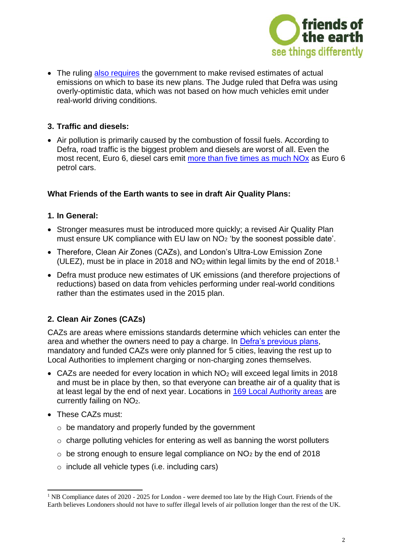

• The ruling [also requires](https://www.clientearth.org/major-victory-health-uk-high-court-government-inaction-air-pollution/) the government to make revised estimates of actual emissions on which to base its new plans. The Judge ruled that Defra was using overly-optimistic data, which was not based on how much vehicles emit under real-world driving conditions.

# **3. Traffic and diesels:**

 Air pollution is primarily caused by the combustion of fossil fuels. According to Defra, road traffic is the biggest problem and diesels are worst of all. Even the most recent, Euro 6, diesel cars emit more than five [times as much NOx](http://policyexchange.org.uk/publication/up-in-the-air-how-to-solve-londons-air-quality-crisis-part-2/) as Euro 6 petrol cars.

# **What Friends of the Earth wants to see in draft Air Quality Plans:**

#### **1. In General:**

- Stronger measures must be introduced more quickly; a revised Air Quality Plan must ensure UK compliance with EU law on NO<sup>2</sup> 'by the soonest possible date'.
- Therefore, Clean Air Zones (CAZs), and London's Ultra-Low Emission Zone (ULEZ), must be in place in 2018 and  $NO<sub>2</sub>$  within legal limits by the end of 2018.<sup>1</sup>
- Defra must produce new estimates of UK emissions (and therefore projections of reductions) based on data from vehicles performing under real-world conditions rather than the estimates used in the 2015 plan.

# **2. Clean Air Zones (CAZs)**

CAZs are areas where emissions standards determine which vehicles can enter the area and whether the owners need to pay a charge. In [Defra's previous plans,](https://consult.defra.gov.uk/airquality/implementation-of-cazs/) mandatory and funded CAZs were only planned for 5 cities, leaving the rest up to Local Authorities to implement charging or non-charging zones themselves.

- CAZs are needed for every location in which NO<sup>2</sup> will exceed legal limits in 2018 and must be in place by then, so that everyone can breathe air of a quality that is at least legal by the end of next year. Locations in [169 Local Authority areas](https://www.theyworkforyou.com/wrans/?id=2016-10-11.47949.h&s=speaker%3A24779) are currently failing on NO2.
- These CAZs must:
	- o be mandatory and properly funded by the government
	- $\circ$  charge polluting vehicles for entering as well as banning the worst polluters
	- $\circ$  be strong enough to ensure legal compliance on NO<sub>2</sub> by the end of 2018
	- o include all vehicle types (i.e. including cars)

<sup>-</sup><sup>1</sup> NB Compliance dates of 2020 - 2025 for London - were deemed too late by the High Court. Friends of the Earth believes Londoners should not have to suffer illegal levels of air pollution longer than the rest of the UK.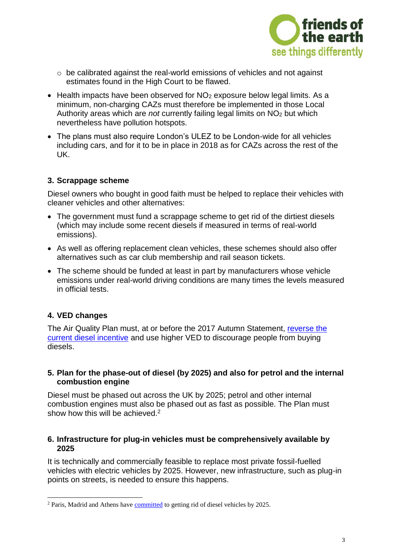

- o be calibrated against the real-world emissions of vehicles and not against estimates found in the High Court to be flawed.
- $\bullet$  Health impacts have been observed for NO<sub>2</sub> exposure below legal limits. As a minimum, non-charging CAZs must therefore be implemented in those Local Authority areas which are *not* currently failing legal limits on NO<sup>2</sup> but which nevertheless have pollution hotspots.
- The plans must also require London's ULEZ to be London-wide for all vehicles including cars, and for it to be in place in 2018 as for CAZs across the rest of the UK.

#### **3. Scrappage scheme**

Diesel owners who bought in good faith must be helped to replace their vehicles with cleaner vehicles and other alternatives:

- The government must fund a scrappage scheme to get rid of the dirtiest diesels (which may include some recent diesels if measured in terms of real-world emissions).
- As well as offering replacement clean vehicles, these schemes should also offer alternatives such as car club membership and rail season tickets.
- The scheme should be funded at least in part by manufacturers whose vehicle emissions under real-world driving conditions are many times the levels measured in official tests.

# **4. VED changes**

-

The Air Quality Plan must, at or before the 2017 Autumn Statement, [reverse the](https://www.healthyair.org.uk/chancellor-urged-raise-first-year-ved-rate-tackle-air-pollution/)  [current diesel incentive](https://www.healthyair.org.uk/chancellor-urged-raise-first-year-ved-rate-tackle-air-pollution/) and use higher VED to discourage people from buying diesels.

#### **5. Plan for the phase-out of diesel (by 2025) and also for petrol and the internal combustion engine**

Diesel must be phased out across the UK by 2025; petrol and other internal combustion engines must also be phased out as fast as possible. The Plan must show how this will be achieved  $2^2$ 

#### **6. Infrastructure for plug-in vehicles must be comprehensively available by 2025**

It is technically and commercially feasible to replace most private fossil-fuelled vehicles with electric vehicles by 2025. However, new infrastructure, such as plug-in points on streets, is needed to ensure this happens.

<sup>&</sup>lt;sup>2</sup> Paris, Madrid and Athens have [committed](http://www.bbc.co.uk/news/science-environment-38170794) to getting rid of diesel vehicles by 2025.